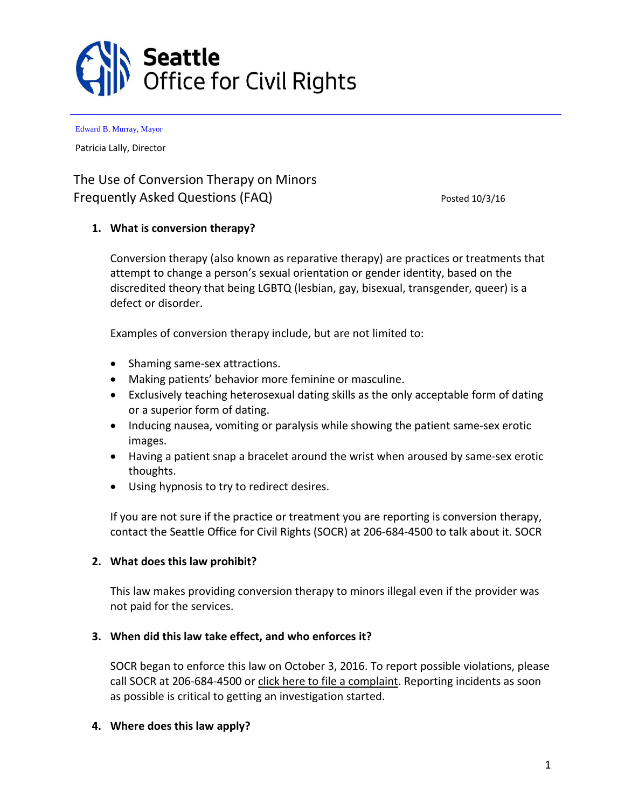

Patricia Lally, Director

# The Use of Conversion Therapy on Minors Frequently Asked Questions (FAQ) Posted 10/3/16

# **1. What is conversion therapy?**

Conversion therapy (also known as reparative therapy) are practices or treatments that attempt to change a person's sexual orientation or gender identity, based on the discredited theory that being LGBTQ (lesbian, gay, bisexual, transgender, queer) is a defect or disorder.

Examples of conversion therapy include, but are not limited to:

- Shaming same-sex attractions.
- Making patients' behavior more feminine or masculine.
- Exclusively teaching heterosexual dating skills as the only acceptable form of dating or a superior form of dating.
- Inducing nausea, vomiting or paralysis while showing the patient same-sex erotic images.
- Having a patient snap a bracelet around the wrist when aroused by same-sex erotic thoughts.
- Using hypnosis to try to redirect desires.

If you are not sure if the practice or treatment you are reporting is conversion therapy, contact the Seattle Office for Civil Rights (SOCR) at 206-684-4500 to talk about it. SOCR

# **2. What does this law prohibit?**

This law makes providing conversion therapy to minors illegal even if the provider was not paid for the services.

# **3. When did this law take effect, and who enforces it?**

SOCR began to enforce this law on October 3, 2016. To report possible violations, please call SOCR at 206-684-4500 or click here to file a [complaint.](http://www.seattle.gov/civilrights/file-complaint) Reporting incidents as soon as possible is critical to getting an investigation started.

#### **4. Where does this law apply?**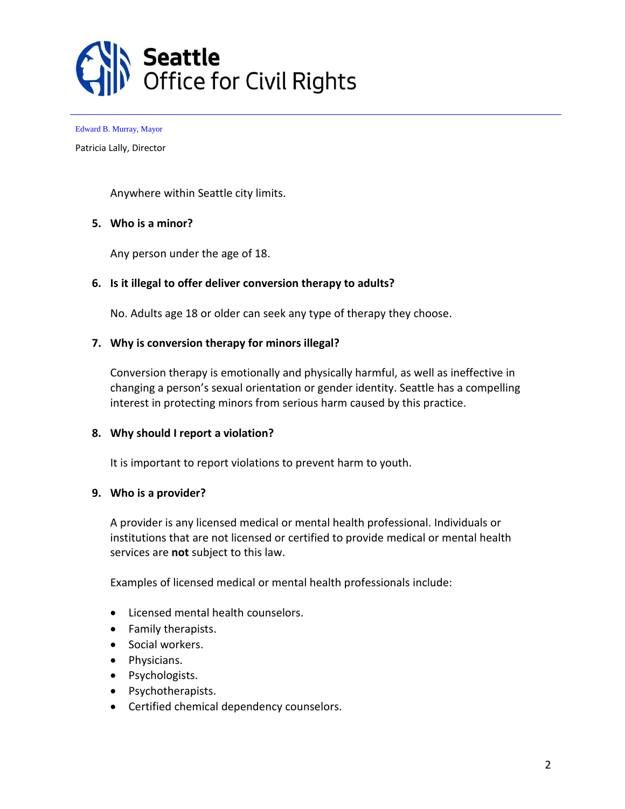

Patricia Lally, Director

Anywhere within Seattle city limits.

#### **5. Who is a minor?**

Any person under the age of 18.

#### **6. Is it illegal to offer deliver conversion therapy to adults?**

No. Adults age 18 or older can seek any type of therapy they choose.

#### **7. Why is conversion therapy for minors illegal?**

Conversion therapy is emotionally and physically harmful, as well as ineffective in changing a person's sexual orientation or gender identity. Seattle has a compelling interest in protecting minors from serious harm caused by this practice.

#### **8. Why should I report a violation?**

It is important to report violations to prevent harm to youth.

#### **9. Who is a provider?**

A provider is any licensed medical or mental health professional. Individuals or institutions that are not licensed or certified to provide medical or mental health services are **not** subject to this law.

Examples of licensed medical or mental health professionals include:

- Licensed mental health counselors.
- Family therapists.
- Social workers.
- Physicians.
- Psychologists.
- Psychotherapists.
- Certified chemical dependency counselors.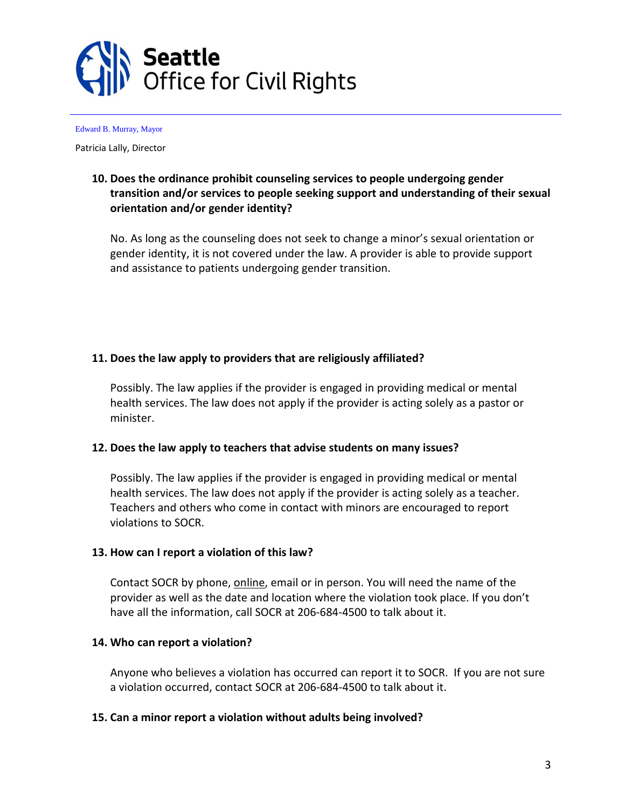

Patricia Lally, Director

# **10. Does the ordinance prohibit counseling services to people undergoing gender transition and/or services to people seeking support and understanding of their sexual orientation and/or gender identity?**

No. As long as the counseling does not seek to change a minor's sexual orientation or gender identity, it is not covered under the law. A provider is able to provide support and assistance to patients undergoing gender transition.

# **11. Does the law apply to providers that are religiously affiliated?**

Possibly. The law applies if the provider is engaged in providing medical or mental health services. The law does not apply if the provider is acting solely as a pastor or minister.

# **12. Does the law apply to teachers that advise students on many issues?**

Possibly. The law applies if the provider is engaged in providing medical or mental health services. The law does not apply if the provider is acting solely as a teacher. Teachers and others who come in contact with minors are encouraged to report violations to SOCR.

# **13. How can I report a violation of this law?**

Contact SOCR by phone, [online,](http://www.seattle.gov/civilrights/file-complaint) email or in person. You will need the name of the provider as well as the date and location where the violation took place. If you don't have all the information, call SOCR at 206-684-4500 to talk about it.

# **14. Who can report a violation?**

Anyone who believes a violation has occurred can report it to SOCR. If you are not sure a violation occurred, contact SOCR at 206-684-4500 to talk about it.

# **15. Can a minor report a violation without adults being involved?**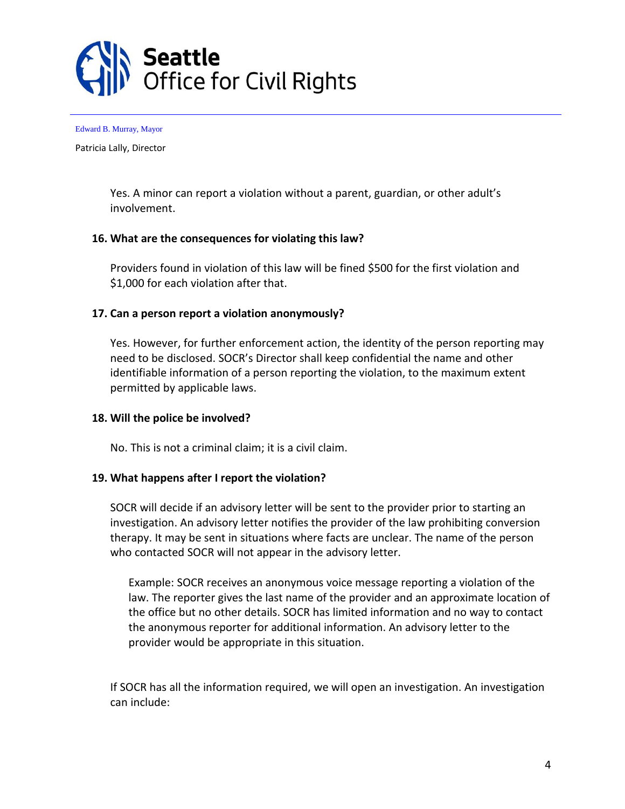

Patricia Lally, Director

Yes. A minor can report a violation without a parent, guardian, or other adult's involvement.

#### **16. What are the consequences for violating this law?**

Providers found in violation of this law will be fined \$500 for the first violation and \$1,000 for each violation after that.

#### **17. Can a person report a violation anonymously?**

Yes. However, for further enforcement action, the identity of the person reporting may need to be disclosed. SOCR's Director shall keep confidential the name and other identifiable information of a person reporting the violation, to the maximum extent permitted by applicable laws.

# **18. Will the police be involved?**

No. This is not a criminal claim; it is a civil claim.

#### **19. What happens after I report the violation?**

SOCR will decide if an advisory letter will be sent to the provider prior to starting an investigation. An advisory letter notifies the provider of the law prohibiting conversion therapy. It may be sent in situations where facts are unclear. The name of the person who contacted SOCR will not appear in the advisory letter.

Example: SOCR receives an anonymous voice message reporting a violation of the law. The reporter gives the last name of the provider and an approximate location of the office but no other details. SOCR has limited information and no way to contact the anonymous reporter for additional information. An advisory letter to the provider would be appropriate in this situation.

If SOCR has all the information required, we will open an investigation. An investigation can include: